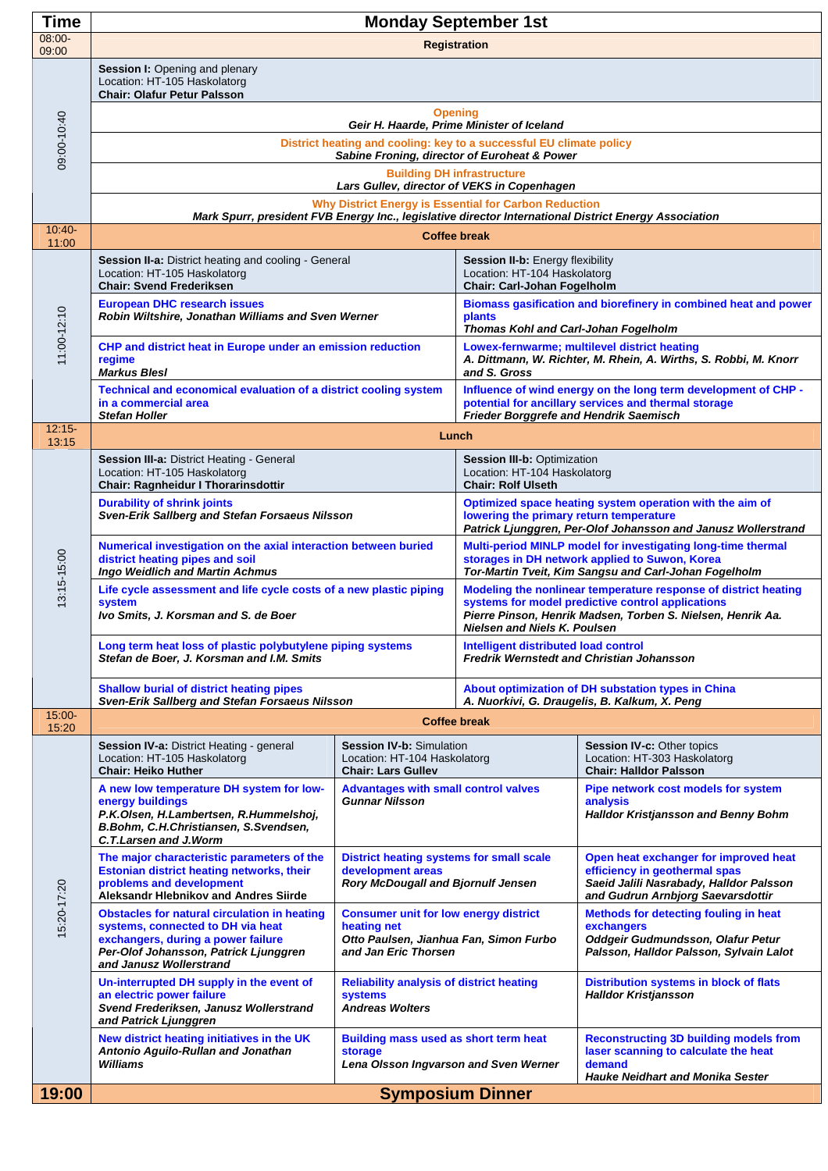| <b>Time</b>        | <b>Monday September 1st</b>                                                                                                                                                                        |                                                                                                                               |                                                                                                                                                                                                                            |                                                                                                                                                        |  |
|--------------------|----------------------------------------------------------------------------------------------------------------------------------------------------------------------------------------------------|-------------------------------------------------------------------------------------------------------------------------------|----------------------------------------------------------------------------------------------------------------------------------------------------------------------------------------------------------------------------|--------------------------------------------------------------------------------------------------------------------------------------------------------|--|
| $08:00 -$<br>09:00 | <b>Registration</b>                                                                                                                                                                                |                                                                                                                               |                                                                                                                                                                                                                            |                                                                                                                                                        |  |
| 09:00-10:40        | Session I: Opening and plenary<br>Location: HT-105 Haskolatorg<br><b>Chair: Olafur Petur Palsson</b>                                                                                               |                                                                                                                               |                                                                                                                                                                                                                            |                                                                                                                                                        |  |
|                    | <b>Opening</b><br>Geir H. Haarde, Prime Minister of Iceland                                                                                                                                        |                                                                                                                               |                                                                                                                                                                                                                            |                                                                                                                                                        |  |
|                    | District heating and cooling: key to a successful EU climate policy<br>Sabine Froning, director of Euroheat & Power                                                                                |                                                                                                                               |                                                                                                                                                                                                                            |                                                                                                                                                        |  |
|                    | <b>Building DH infrastructure</b><br>Lars Gullev, director of VEKS in Copenhagen                                                                                                                   |                                                                                                                               |                                                                                                                                                                                                                            |                                                                                                                                                        |  |
|                    | Why District Energy is Essential for Carbon Reduction<br>Mark Spurr, president FVB Energy Inc., legislative director International District Energy Association                                     |                                                                                                                               |                                                                                                                                                                                                                            |                                                                                                                                                        |  |
| $10:40-$<br>11:00  | <b>Coffee break</b>                                                                                                                                                                                |                                                                                                                               |                                                                                                                                                                                                                            |                                                                                                                                                        |  |
| 11:00-12:10        | Session II-a: District heating and cooling - General<br>Location: HT-105 Haskolatorg<br><b>Chair: Svend Frederiksen</b>                                                                            |                                                                                                                               | Session II-b: Energy flexibility<br>Location: HT-104 Haskolatorg<br>Chair: Carl-Johan Fogelholm                                                                                                                            |                                                                                                                                                        |  |
|                    | <b>European DHC research issues</b><br>Robin Wiltshire, Jonathan Williams and Sven Werner                                                                                                          |                                                                                                                               | Biomass gasification and biorefinery in combined heat and power<br>plants<br><b>Thomas Kohl and Carl-Johan Fogelholm</b>                                                                                                   |                                                                                                                                                        |  |
|                    | CHP and district heat in Europe under an emission reduction<br>regime<br><b>Markus Blesl</b>                                                                                                       |                                                                                                                               | Lowex-fernwarme; multilevel district heating<br>A. Dittmann, W. Richter, M. Rhein, A. Wirths, S. Robbi, M. Knorr<br>and S. Gross                                                                                           |                                                                                                                                                        |  |
|                    | Technical and economical evaluation of a district cooling system<br>in a commercial area<br><b>Stefan Holler</b>                                                                                   |                                                                                                                               | Influence of wind energy on the long term development of CHP -<br>potential for ancillary services and thermal storage<br>Frieder Borggrefe and Hendrik Saemisch                                                           |                                                                                                                                                        |  |
| $12:15 -$<br>13:15 | Lunch                                                                                                                                                                                              |                                                                                                                               |                                                                                                                                                                                                                            |                                                                                                                                                        |  |
| 13:15-15:00        | Session III-a: District Heating - General<br>Location: HT-105 Haskolatorg<br><b>Chair: Ragnheidur I Thorarinsdottir</b>                                                                            |                                                                                                                               | Session III-b: Optimization<br>Location: HT-104 Haskolatorg<br><b>Chair: Rolf Ulseth</b>                                                                                                                                   |                                                                                                                                                        |  |
|                    | <b>Durability of shrink joints</b><br>Sven-Erik Sallberg and Stefan Forsaeus Nilsson                                                                                                               |                                                                                                                               | Optimized space heating system operation with the aim of<br>lowering the primary return temperature<br>Patrick Ljunggren, Per-Olof Johansson and Janusz Wollerstrand                                                       |                                                                                                                                                        |  |
|                    | Numerical investigation on the axial interaction between buried<br>district heating pipes and soil<br>Ingo Weidlich and Martin Achmus                                                              |                                                                                                                               | Multi-period MINLP model for investigating long-time thermal<br>storages in DH network applied to Suwon, Korea<br>Tor-Martin Tveit, Kim Sangsu and Carl-Johan Fogelholm                                                    |                                                                                                                                                        |  |
|                    | Life cycle assessment and life cycle costs of a new plastic piping<br><b>system</b><br>Ivo Smits, J. Korsman and S. de Boer                                                                        |                                                                                                                               | Modeling the nonlinear temperature response of district heating<br>systems for model predictive control applications<br>Pierre Pinson, Henrik Madsen, Torben S. Nielsen, Henrik Aa.<br><b>Nielsen and Niels K. Poulsen</b> |                                                                                                                                                        |  |
|                    | Long term heat loss of plastic polybutylene piping systems<br>Stefan de Boer, J. Korsman and I.M. Smits                                                                                            |                                                                                                                               | <b>Intelligent distributed load control</b><br><b>Fredrik Wernstedt and Christian Johansson</b>                                                                                                                            |                                                                                                                                                        |  |
|                    | <b>Shallow burial of district heating pipes</b><br>Sven-Erik Sallberg and Stefan Forsaeus Nilsson                                                                                                  |                                                                                                                               | About optimization of DH substation types in China<br>A. Nuorkivi, G. Draugelis, B. Kalkum, X. Peng                                                                                                                        |                                                                                                                                                        |  |
| $15:00 -$<br>15:20 |                                                                                                                                                                                                    | <b>Coffee break</b>                                                                                                           |                                                                                                                                                                                                                            |                                                                                                                                                        |  |
| 15:20-17:20        | Session IV-a: District Heating - general<br>Location: HT-105 Haskolatorg<br><b>Chair: Heiko Huther</b>                                                                                             | <b>Session IV-b: Simulation</b><br>Location: HT-104 Haskolatorg<br><b>Chair: Lars Gullev</b>                                  |                                                                                                                                                                                                                            | Session IV-c: Other topics<br>Location: HT-303 Haskolatorg<br><b>Chair: Halldor Palsson</b>                                                            |  |
|                    | A new low temperature DH system for low-<br>energy buildings<br>P.K.Olsen, H.Lambertsen, R.Hummelshoj,<br>B.Bohm, C.H.Christiansen, S.Svendsen,<br>C.T.Larsen and J.Worm                           | <b>Advantages with small control valves</b><br><b>Gunnar Nilsson</b>                                                          |                                                                                                                                                                                                                            | Pipe network cost models for system<br>analysis<br><b>Halldor Kristjansson and Benny Bohm</b>                                                          |  |
|                    | The major characteristic parameters of the<br><b>Estonian district heating networks, their</b><br>problems and development<br>Aleksandr Hlebnikov and Andres Siirde                                | <b>District heating systems for small scale</b><br>development areas<br>Rory McDougall and Bjornulf Jensen                    |                                                                                                                                                                                                                            | Open heat exchanger for improved heat<br>efficiency in geothermal spas<br>Saeid Jalili Nasrabady, Halldor Palsson<br>and Gudrun Arnbjorg Saevarsdottir |  |
|                    | <b>Obstacles for natural circulation in heating</b><br>systems, connected to DH via heat<br>exchangers, during a power failure<br>Per-Olof Johansson, Patrick Ljunggren<br>and Janusz Wollerstrand | <b>Consumer unit for low energy district</b><br>heating net<br>Otto Paulsen, Jianhua Fan, Simon Furbo<br>and Jan Eric Thorsen |                                                                                                                                                                                                                            | Methods for detecting fouling in heat<br>exchangers<br>Oddgeir Gudmundsson, Olafur Petur<br>Palsson, Halldor Palsson, Sylvain Lalot                    |  |
|                    | Un-interrupted DH supply in the event of<br>an electric power failure<br>Svend Frederiksen, Janusz Wollerstrand<br>and Patrick Ljunggren                                                           | <b>Reliability analysis of district heating</b><br><b>systems</b><br><b>Andreas Wolters</b>                                   |                                                                                                                                                                                                                            | Distribution systems in block of flats<br><b>Halldor Kristjansson</b>                                                                                  |  |
|                    | New district heating initiatives in the UK<br>Antonio Aguilo-Rullan and Jonathan<br><b>Williams</b>                                                                                                | <b>Building mass used as short term heat</b><br>storage<br>Lena Olsson Ingvarson and Sven Werner                              |                                                                                                                                                                                                                            | <b>Reconstructing 3D building models from</b><br>laser scanning to calculate the heat<br>demand                                                        |  |
| 19:00              | <b>Hauke Neidhart and Monika Sester</b><br><b>Symposium Dinner</b>                                                                                                                                 |                                                                                                                               |                                                                                                                                                                                                                            |                                                                                                                                                        |  |
|                    |                                                                                                                                                                                                    |                                                                                                                               |                                                                                                                                                                                                                            |                                                                                                                                                        |  |